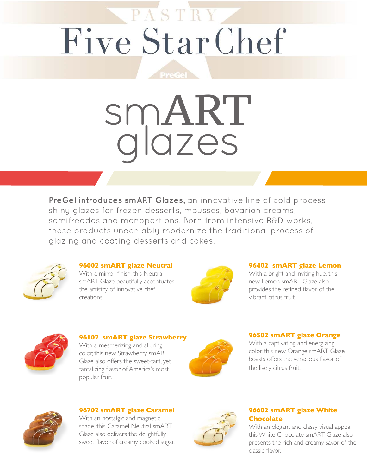# PASTRY Five Star Chef

# smART glazes

**PreGel introduces smART Glazes,** an innovative line of cold process shiny glazes for frozen desserts, mousses, bavarian creams, semifreddos and monoportions. Born from intensive R&D works, these products undeniably modernize the traditional process of glazing and coating desserts and cakes.



#### **96002 smART glaze Neutral**

With a mirror finish, this Neutral smART Glaze beautifully accentuates the artistry of innovative chef creations.



#### **96402 smART glaze Lemon**

With a bright and inviting hue, this new Lemon smART Glaze also provides the refined flavor of the vibrant citrus fruit.



#### **96102 smART glaze Strawberry**

With a mesmerizing and alluring color, this new Strawberry smART Glaze also offers the sweet-tart, yet tantalizing flavor of America's most popular fruit.



#### **96502 smART glaze Orange**

With a captivating and energizing color, this new Orange smART Glaze boasts offers the veracious flavor of the lively citrus fruit.



**96702 smART glaze Caramel**  With an nostalgic and magnetic shade, this Caramel Neutral smART Glaze also delivers the delightfully sweet flavor of creamy cooked sugar.



#### **96602 smART glaze White Chocolate**

With an elegant and classy visual appeal, this White Chocolate smART Glaze also presents the rich and creamy savor of the classic flavor.